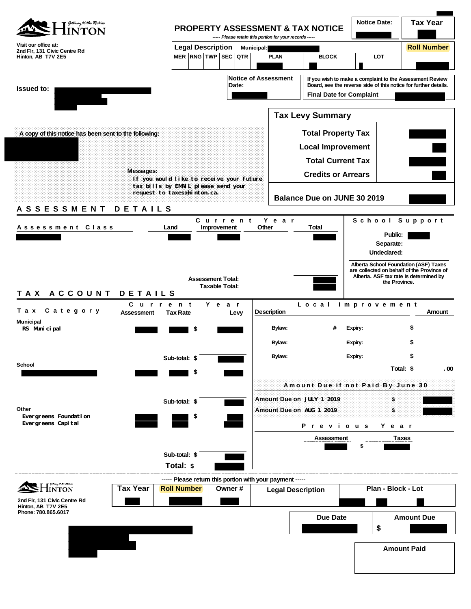